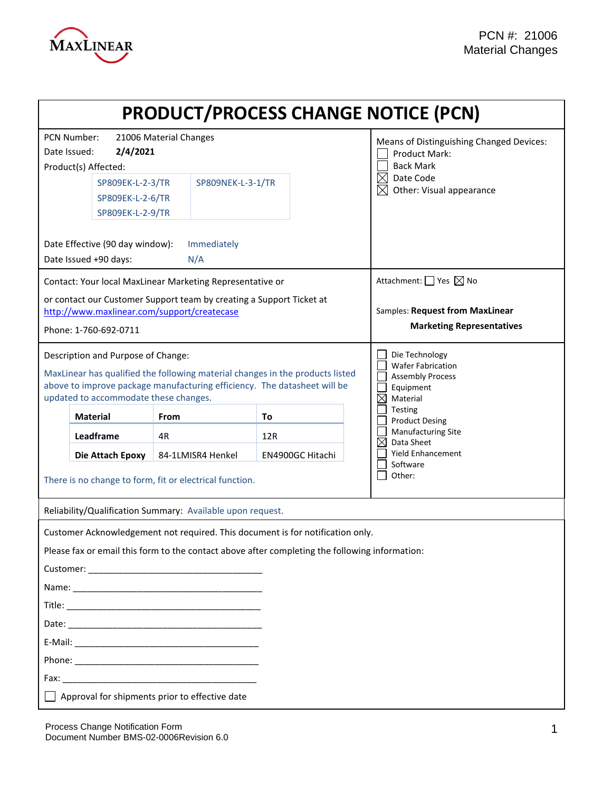

| <b>PRODUCT/PROCESS CHANGE NOTICE (PCN)</b>                                                                                                                                                                                               |                                                          |                   |     |                                                                                                               |
|------------------------------------------------------------------------------------------------------------------------------------------------------------------------------------------------------------------------------------------|----------------------------------------------------------|-------------------|-----|---------------------------------------------------------------------------------------------------------------|
| PCN Number:<br>21006 Material Changes<br>2/4/2021<br>Date Issued:<br>Product(s) Affected:                                                                                                                                                |                                                          |                   |     | Means of Distinguishing Changed Devices:<br><b>Product Mark:</b><br><b>Back Mark</b>                          |
|                                                                                                                                                                                                                                          | SP809EK-L-2-3/TR<br>SP809EK-L-2-6/TR<br>SP809EK-L-2-9/TR | SP809NEK-L-3-1/TR |     | $\boxtimes$<br>Date Code<br>$\boxtimes$<br>Other: Visual appearance                                           |
| Date Effective (90 day window):<br>Immediately<br>Date Issued +90 days:<br>N/A                                                                                                                                                           |                                                          |                   |     |                                                                                                               |
| Contact: Your local MaxLinear Marketing Representative or                                                                                                                                                                                |                                                          |                   |     | Attachment: $\Box$ Yes $\boxtimes$ No                                                                         |
| or contact our Customer Support team by creating a Support Ticket at<br>http://www.maxlinear.com/support/createcase<br>Phone: 1-760-692-0711                                                                                             |                                                          |                   |     | Samples: Request from MaxLinear<br><b>Marketing Representatives</b>                                           |
| Description and Purpose of Change:<br>MaxLinear has qualified the following material changes in the products listed<br>above to improve package manufacturing efficiency. The datasheet will be<br>updated to accommodate these changes. |                                                          |                   |     | Die Technology<br><b>Wafer Fabrication</b><br><b>Assembly Process</b><br>Equipment<br>$\boxtimes$<br>Material |
|                                                                                                                                                                                                                                          | <b>Material</b>                                          | <b>From</b>       | To  | Testing<br><b>Product Desing</b>                                                                              |
|                                                                                                                                                                                                                                          | Leadframe                                                | 4R                | 12R | <b>Manufacturing Site</b><br>Data Sheet<br>⊠                                                                  |
| 84-1LMISR4 Henkel<br>EN4900GC Hitachi<br>Die Attach Epoxy<br>There is no change to form, fit or electrical function.                                                                                                                     |                                                          |                   |     | <b>Yield Enhancement</b><br>Software<br>Other:                                                                |
| Reliability/Qualification Summary: Available upon request.                                                                                                                                                                               |                                                          |                   |     |                                                                                                               |
| Customer Acknowledgement not required. This document is for notification only.<br>Please fax or email this form to the contact above after completing the following information:                                                         |                                                          |                   |     |                                                                                                               |
|                                                                                                                                                                                                                                          |                                                          |                   |     |                                                                                                               |
|                                                                                                                                                                                                                                          |                                                          |                   |     |                                                                                                               |
|                                                                                                                                                                                                                                          |                                                          |                   |     |                                                                                                               |
|                                                                                                                                                                                                                                          |                                                          |                   |     |                                                                                                               |
|                                                                                                                                                                                                                                          |                                                          |                   |     |                                                                                                               |
| $\Box$ Approval for shipments prior to effective date                                                                                                                                                                                    |                                                          |                   |     |                                                                                                               |